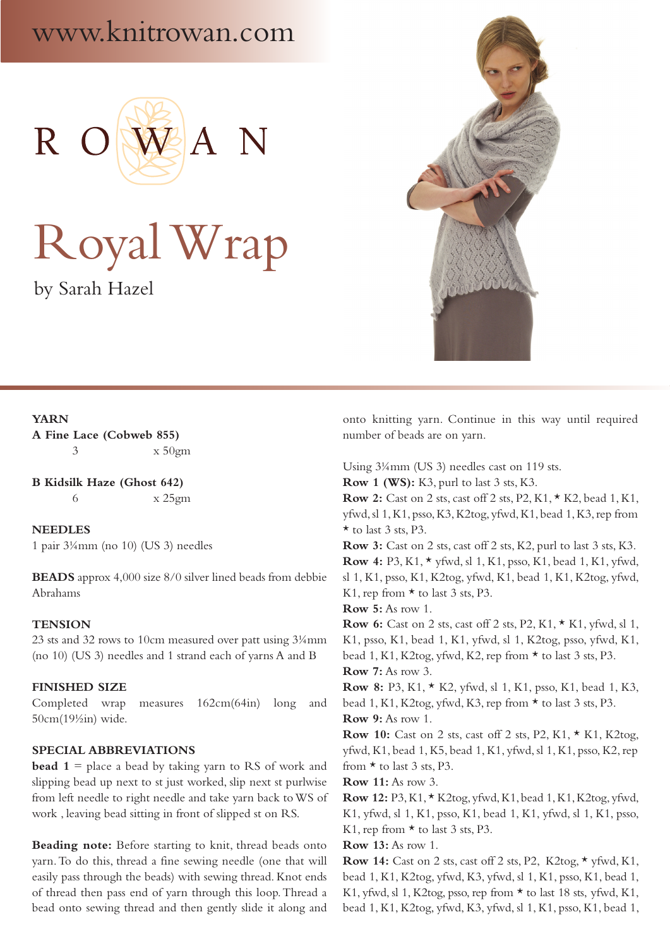# www.knitrowan.com



# Royal Wrap

by Sarah Hazel



## **YARN A Fine Lace (Cobweb 855)** 3 x 50gm

**B Kidsilk Haze (Ghost 642)** 6 x 25gm

**NEEDLES** 1 pair 3¼mm (no 10) (US 3) needles

**BEADS** approx 4,000 size 8/0 silver lined beads from debbie Abrahams

## **TENSION**

23 sts and 32 rows to 10cm measured over patt using 3¼mm (no 10) (US 3) needles and 1 strand each of yarns A and B

#### **FINISHED SIZE**

Completed wrap measures 162cm(64in) long and 50cm(19½in) wide.

# **SPECIAL ABBREVIATIONS**

**bead 1** = place a bead by taking yarn to RS of work and slipping bead up next to st just worked, slip next st purlwise from left needle to right needle and take yarn back to WS of work , leaving bead sitting in front of slipped st on RS.

**Beading note:** Before starting to knit, thread beads onto yarn. To do this, thread a fine sewing needle (one that will easily pass through the beads) with sewing thread. Knot ends of thread then pass end of yarn through this loop. Thread a bead onto sewing thread and then gently slide it along and onto knitting yarn. Continue in this way until required number of beads are on yarn.

Using 3¼mm (US 3) needles cast on 119 sts.

**Row 1 (WS):** K3, purl to last 3 sts, K3.

**Row 2:** Cast on 2 sts, cast off 2 sts, P2, K1, \* K2, bead 1, K1, yfwd, sl 1, K1, psso, K3, K2tog, yfwd, K1, bead 1, K3, rep from  $\star$  to last 3 sts, P3.

**Row 3:** Cast on 2 sts, cast off 2 sts, K2, purl to last 3 sts, K3. **Row 4:** P3, K1, \* yfwd, sl 1, K1, psso, K1, bead 1, K1, yfwd, sl 1, K1, psso, K1, K2tog, yfwd, K1, bead 1, K1, K2tog, yfwd, K1, rep from  $\star$  to last 3 sts, P3.

**Row 5:** As row 1.

**Row 6:** Cast on 2 sts, cast off 2 sts, P2, K1, \* K1, yfwd, sl 1, K1, psso, K1, bead 1, K1, yfwd, sl 1, K2tog, psso, yfwd, K1, bead 1, K1, K2tog, yfwd, K2, rep from \* to last 3 sts, P3. **Row 7:** As row 3.

**Row 8:** P3, K1, \* K2, yfwd, sl 1, K1, psso, K1, bead 1, K3, bead 1, K1, K2tog, yfwd, K3, rep from  $\star$  to last 3 sts, P3. **Row 9:** As row 1.

**Row 10:** Cast on 2 sts, cast off 2 sts, P2, K1, \* K1, K2tog, yfwd, K1, bead 1, K5, bead 1, K1, yfwd, sl 1, K1, psso, K2, rep from  $\star$  to last 3 sts, P3.

**Row 11:** As row 3.

**Row 12:** P3, K1, \* K2tog, yfwd, K1, bead 1, K1, K2tog, yfwd, K1, yfwd, sl 1, K1, psso, K1, bead 1, K1, yfwd, sl 1, K1, psso, K1, rep from  $\star$  to last 3 sts, P3.

# **Row 13:** As row 1.

**Row 14:** Cast on 2 sts, cast off 2 sts, P2, K2tog, \* yfwd, K1, bead 1, K1, K2tog, yfwd, K3, yfwd, sl 1, K1, psso, K1, bead 1, K1, yfwd, sl 1, K2tog, psso, rep from \* to last 18 sts, yfwd, K1, bead 1, K1, K2tog, yfwd, K3, yfwd, sl 1, K1, psso, K1, bead 1,